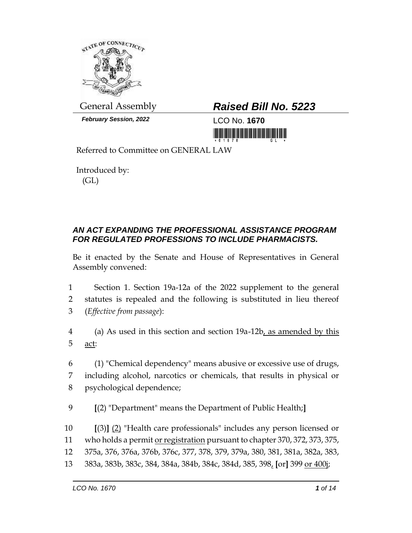

*February Session, 2022* LCO No. **1670**

# General Assembly *Raised Bill No. 5223*

<u>tin kulukuli hukumumumum kulumi</u>

Referred to Committee on GENERAL LAW

Introduced by: (GL)

## *AN ACT EXPANDING THE PROFESSIONAL ASSISTANCE PROGRAM FOR REGULATED PROFESSIONS TO INCLUDE PHARMACISTS.*

Be it enacted by the Senate and House of Representatives in General Assembly convened:

- 1 Section 1. Section 19a-12a of the 2022 supplement to the general 2 statutes is repealed and the following is substituted in lieu thereof 3 (*Effective from passage*):
- 4 (a) As used in this section and section 19a-12b, as amended by this 5 act:
- 6 (1) "Chemical dependency" means abusive or excessive use of drugs, 7 including alcohol, narcotics or chemicals, that results in physical or 8 psychological dependence;
- 9 **[**(2) "Department" means the Department of Public Health;**]**

 **[**(3)**]** (2) "Health care professionals" includes any person licensed or 11 who holds a permit or registration pursuant to chapter 370, 372, 373, 375, 375a, 376, 376a, 376b, 376c, 377, 378, 379, 379a, 380, 381, 381a, 382a, 383, 383a, 383b, 383c, 384, 384a, 384b, 384c, 384d, 385, 398, **[**or**]** 399 or 400j;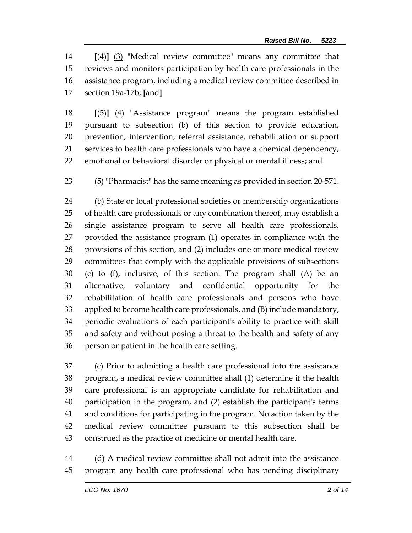**[**(4)**]** (3) "Medical review committee" means any committee that reviews and monitors participation by health care professionals in the assistance program, including a medical review committee described in section 19a-17b; **[**and**]**

 **[**(5)**]** (4) "Assistance program" means the program established pursuant to subsection (b) of this section to provide education, prevention, intervention, referral assistance, rehabilitation or support services to health care professionals who have a chemical dependency, 22 emotional or behavioral disorder or physical or mental illness; and

#### (5) "Pharmacist" has the same meaning as provided in section 20-571.

 (b) State or local professional societies or membership organizations of health care professionals or any combination thereof, may establish a single assistance program to serve all health care professionals, provided the assistance program (1) operates in compliance with the provisions of this section, and (2) includes one or more medical review committees that comply with the applicable provisions of subsections (c) to (f), inclusive, of this section. The program shall (A) be an alternative, voluntary and confidential opportunity for the rehabilitation of health care professionals and persons who have applied to become health care professionals, and (B) include mandatory, periodic evaluations of each participant's ability to practice with skill and safety and without posing a threat to the health and safety of any person or patient in the health care setting.

 (c) Prior to admitting a health care professional into the assistance program, a medical review committee shall (1) determine if the health care professional is an appropriate candidate for rehabilitation and participation in the program, and (2) establish the participant's terms and conditions for participating in the program. No action taken by the medical review committee pursuant to this subsection shall be construed as the practice of medicine or mental health care.

 (d) A medical review committee shall not admit into the assistance program any health care professional who has pending disciplinary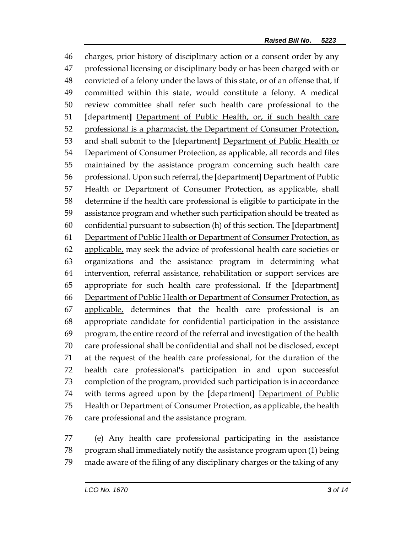charges, prior history of disciplinary action or a consent order by any professional licensing or disciplinary body or has been charged with or convicted of a felony under the laws of this state, or of an offense that, if committed within this state, would constitute a felony. A medical review committee shall refer such health care professional to the **[**department**]** Department of Public Health, or, if such health care 52 professional is a pharmacist, the Department of Consumer Protection, and shall submit to the **[**department**]** Department of Public Health or Department of Consumer Protection, as applicable, all records and files maintained by the assistance program concerning such health care professional. Upon such referral, the **[**department**]** Department of Public 57 Health or Department of Consumer Protection, as applicable, shall determine if the health care professional is eligible to participate in the assistance program and whether such participation should be treated as confidential pursuant to subsection (h) of this section. The **[**department**]** Department of Public Health or Department of Consumer Protection, as 62 applicable, may seek the advice of professional health care societies or organizations and the assistance program in determining what intervention, referral assistance, rehabilitation or support services are appropriate for such health care professional. If the **[**department**]** Department of Public Health or Department of Consumer Protection, as applicable, determines that the health care professional is an appropriate candidate for confidential participation in the assistance program, the entire record of the referral and investigation of the health care professional shall be confidential and shall not be disclosed, except at the request of the health care professional, for the duration of the health care professional's participation in and upon successful completion of the program, provided such participation is in accordance with terms agreed upon by the **[**department**]** Department of Public 75 Health or Department of Consumer Protection, as applicable, the health care professional and the assistance program.

 (e) Any health care professional participating in the assistance program shall immediately notify the assistance program upon (1) being made aware of the filing of any disciplinary charges or the taking of any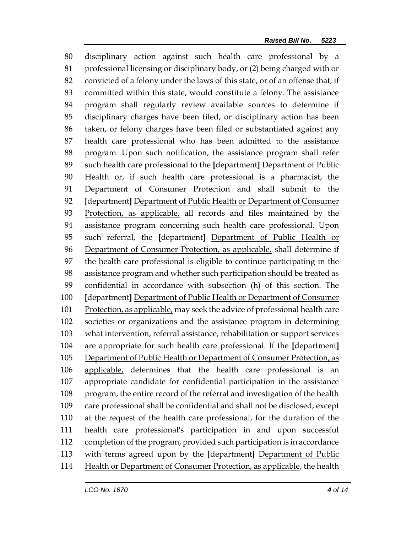disciplinary action against such health care professional by a professional licensing or disciplinary body, or (2) being charged with or convicted of a felony under the laws of this state, or of an offense that, if committed within this state, would constitute a felony. The assistance program shall regularly review available sources to determine if disciplinary charges have been filed, or disciplinary action has been taken, or felony charges have been filed or substantiated against any health care professional who has been admitted to the assistance program. Upon such notification, the assistance program shall refer such health care professional to the **[**department**]** Department of Public Health or, if such health care professional is a pharmacist, the Department of Consumer Protection and shall submit to the **[**department**]** Department of Public Health or Department of Consumer Protection, as applicable, all records and files maintained by the assistance program concerning such health care professional. Upon such referral, the **[**department**]** Department of Public Health or Department of Consumer Protection, as applicable, shall determine if the health care professional is eligible to continue participating in the assistance program and whether such participation should be treated as confidential in accordance with subsection (h) of this section. The **[**department**]** Department of Public Health or Department of Consumer 101 Protection, as applicable, may seek the advice of professional health care societies or organizations and the assistance program in determining what intervention, referral assistance, rehabilitation or support services are appropriate for such health care professional. If the **[**department**]** Department of Public Health or Department of Consumer Protection, as applicable, determines that the health care professional is an appropriate candidate for confidential participation in the assistance program, the entire record of the referral and investigation of the health care professional shall be confidential and shall not be disclosed, except at the request of the health care professional, for the duration of the health care professional's participation in and upon successful completion of the program, provided such participation is in accordance with terms agreed upon by the **[**department**]** Department of Public Health or Department of Consumer Protection, as applicable, the health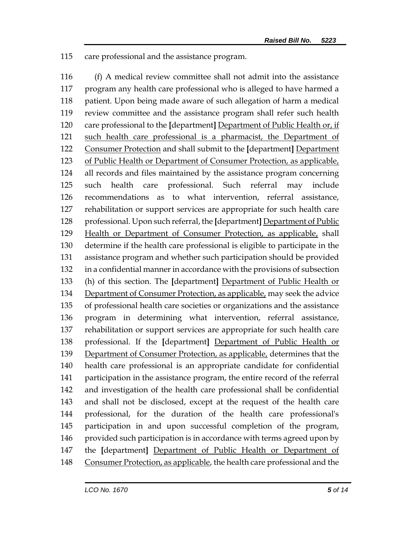care professional and the assistance program.

 (f) A medical review committee shall not admit into the assistance program any health care professional who is alleged to have harmed a patient. Upon being made aware of such allegation of harm a medical review committee and the assistance program shall refer such health care professional to the **[**department**]** Department of Public Health or, if 121 such health care professional is a pharmacist, the Department of Consumer Protection and shall submit to the **[**department**]** Department of Public Health or Department of Consumer Protection, as applicable, all records and files maintained by the assistance program concerning such health care professional. Such referral may include recommendations as to what intervention, referral assistance, rehabilitation or support services are appropriate for such health care professional. Upon such referral, the **[**department**]** Department of Public Health or Department of Consumer Protection, as applicable, shall determine if the health care professional is eligible to participate in the assistance program and whether such participation should be provided in a confidential manner in accordance with the provisions of subsection (h) of this section. The **[**department**]** Department of Public Health or Department of Consumer Protection, as applicable, may seek the advice of professional health care societies or organizations and the assistance program in determining what intervention, referral assistance, rehabilitation or support services are appropriate for such health care professional. If the **[**department**]** Department of Public Health or 139 Department of Consumer Protection, as applicable, determines that the health care professional is an appropriate candidate for confidential participation in the assistance program, the entire record of the referral and investigation of the health care professional shall be confidential and shall not be disclosed, except at the request of the health care professional, for the duration of the health care professional's participation in and upon successful completion of the program, 146 provided such participation is in accordance with terms agreed upon by the **[**department**]** Department of Public Health or Department of 148 Consumer Protection, as applicable, the health care professional and the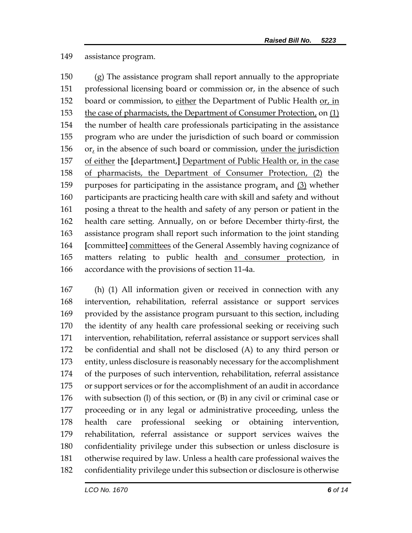#### assistance program.

 (g) The assistance program shall report annually to the appropriate professional licensing board or commission or, in the absence of such board or commission, to either the Department of Public Health or, in the case of pharmacists, the Department of Consumer Protection, on (1) the number of health care professionals participating in the assistance program who are under the jurisdiction of such board or commission 156 or, in the absence of such board or commission, under the jurisdiction of either the **[**department,**]** Department of Public Health or, in the case of pharmacists, the Department of Consumer Protection, (2) the purposes for participating in the assistance program, and (3) whether participants are practicing health care with skill and safety and without posing a threat to the health and safety of any person or patient in the health care setting. Annually, on or before December thirty-first, the assistance program shall report such information to the joint standing **[**committee**]** committees of the General Assembly having cognizance of matters relating to public health and consumer protection, in accordance with the provisions of section 11-4a.

 (h) (1) All information given or received in connection with any intervention, rehabilitation, referral assistance or support services provided by the assistance program pursuant to this section, including the identity of any health care professional seeking or receiving such intervention, rehabilitation, referral assistance or support services shall be confidential and shall not be disclosed (A) to any third person or entity, unless disclosure is reasonably necessary for the accomplishment of the purposes of such intervention, rehabilitation, referral assistance or support services or for the accomplishment of an audit in accordance with subsection (l) of this section, or (B) in any civil or criminal case or proceeding or in any legal or administrative proceeding, unless the health care professional seeking or obtaining intervention, rehabilitation, referral assistance or support services waives the confidentiality privilege under this subsection or unless disclosure is otherwise required by law. Unless a health care professional waives the confidentiality privilege under this subsection or disclosure is otherwise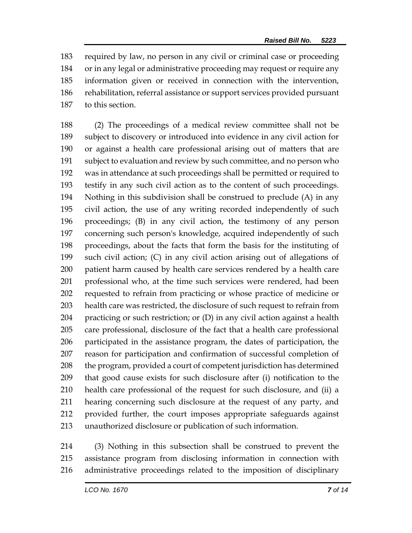required by law, no person in any civil or criminal case or proceeding or in any legal or administrative proceeding may request or require any information given or received in connection with the intervention, rehabilitation, referral assistance or support services provided pursuant to this section.

 (2) The proceedings of a medical review committee shall not be subject to discovery or introduced into evidence in any civil action for or against a health care professional arising out of matters that are subject to evaluation and review by such committee, and no person who was in attendance at such proceedings shall be permitted or required to testify in any such civil action as to the content of such proceedings. Nothing in this subdivision shall be construed to preclude (A) in any civil action, the use of any writing recorded independently of such proceedings; (B) in any civil action, the testimony of any person concerning such person's knowledge, acquired independently of such proceedings, about the facts that form the basis for the instituting of such civil action; (C) in any civil action arising out of allegations of patient harm caused by health care services rendered by a health care professional who, at the time such services were rendered, had been requested to refrain from practicing or whose practice of medicine or health care was restricted, the disclosure of such request to refrain from practicing or such restriction; or (D) in any civil action against a health care professional, disclosure of the fact that a health care professional participated in the assistance program, the dates of participation, the reason for participation and confirmation of successful completion of 208 the program, provided a court of competent jurisdiction has determined that good cause exists for such disclosure after (i) notification to the health care professional of the request for such disclosure, and (ii) a hearing concerning such disclosure at the request of any party, and provided further, the court imposes appropriate safeguards against unauthorized disclosure or publication of such information.

 (3) Nothing in this subsection shall be construed to prevent the assistance program from disclosing information in connection with administrative proceedings related to the imposition of disciplinary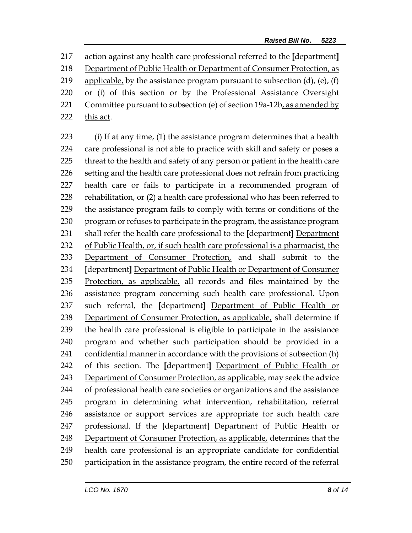action against any health care professional referred to the **[**department**]** Department of Public Health or Department of Consumer Protection, as 219 applicable, by the assistance program pursuant to subsection  $(d)$ ,  $(e)$ ,  $(f)$  or (i) of this section or by the Professional Assistance Oversight Committee pursuant to subsection (e) of section 19a-12b, as amended by this act.

 (i) If at any time, (1) the assistance program determines that a health care professional is not able to practice with skill and safety or poses a threat to the health and safety of any person or patient in the health care setting and the health care professional does not refrain from practicing health care or fails to participate in a recommended program of rehabilitation, or (2) a health care professional who has been referred to the assistance program fails to comply with terms or conditions of the program or refuses to participate in the program, the assistance program shall refer the health care professional to the **[**department**]** Department of Public Health, or, if such health care professional is a pharmacist, the 233 Department of Consumer Protection, and shall submit to the **[**department**]** Department of Public Health or Department of Consumer Protection, as applicable, all records and files maintained by the assistance program concerning such health care professional. Upon such referral, the **[**department**]** Department of Public Health or 238 Department of Consumer Protection, as applicable, shall determine if the health care professional is eligible to participate in the assistance program and whether such participation should be provided in a confidential manner in accordance with the provisions of subsection (h) of this section. The **[**department**]** Department of Public Health or Department of Consumer Protection, as applicable, may seek the advice of professional health care societies or organizations and the assistance program in determining what intervention, rehabilitation, referral assistance or support services are appropriate for such health care professional. If the **[**department**]** Department of Public Health or Department of Consumer Protection, as applicable, determines that the health care professional is an appropriate candidate for confidential participation in the assistance program, the entire record of the referral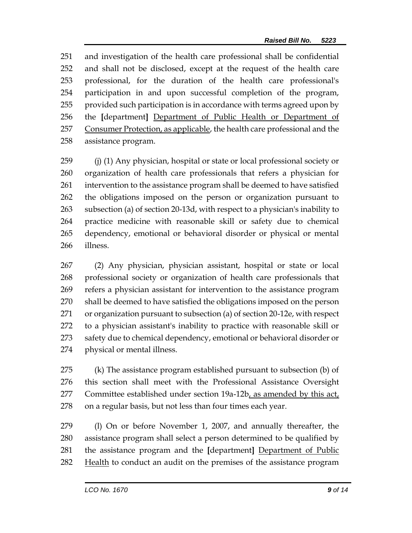and investigation of the health care professional shall be confidential and shall not be disclosed, except at the request of the health care professional, for the duration of the health care professional's participation in and upon successful completion of the program, provided such participation is in accordance with terms agreed upon by the **[**department**]** Department of Public Health or Department of 257 Consumer Protection, as applicable, the health care professional and the assistance program.

 (j) (1) Any physician, hospital or state or local professional society or organization of health care professionals that refers a physician for intervention to the assistance program shall be deemed to have satisfied the obligations imposed on the person or organization pursuant to subsection (a) of section 20-13d, with respect to a physician's inability to practice medicine with reasonable skill or safety due to chemical dependency, emotional or behavioral disorder or physical or mental illness.

 (2) Any physician, physician assistant, hospital or state or local professional society or organization of health care professionals that refers a physician assistant for intervention to the assistance program shall be deemed to have satisfied the obligations imposed on the person or organization pursuant to subsection (a) of section 20-12e, with respect to a physician assistant's inability to practice with reasonable skill or 273 safety due to chemical dependency, emotional or behavioral disorder or physical or mental illness.

 (k) The assistance program established pursuant to subsection (b) of this section shall meet with the Professional Assistance Oversight Committee established under section 19a-12b, as amended by this act, on a regular basis, but not less than four times each year.

 (l) On or before November 1, 2007, and annually thereafter, the assistance program shall select a person determined to be qualified by the assistance program and the **[**department**]** Department of Public 282 Health to conduct an audit on the premises of the assistance program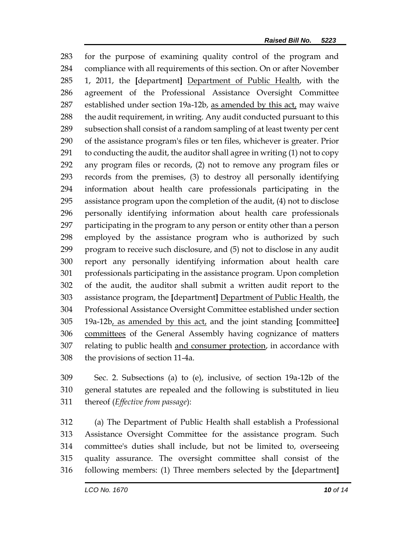for the purpose of examining quality control of the program and compliance with all requirements of this section. On or after November 1, 2011, the **[**department**]** Department of Public Health, with the agreement of the Professional Assistance Oversight Committee established under section 19a-12b, as amended by this act, may waive 288 the audit requirement, in writing. Any audit conducted pursuant to this subsection shall consist of a random sampling of at least twenty per cent of the assistance program's files or ten files, whichever is greater. Prior to conducting the audit, the auditor shall agree in writing (1) not to copy any program files or records, (2) not to remove any program files or records from the premises, (3) to destroy all personally identifying information about health care professionals participating in the assistance program upon the completion of the audit, (4) not to disclose personally identifying information about health care professionals participating in the program to any person or entity other than a person employed by the assistance program who is authorized by such program to receive such disclosure, and (5) not to disclose in any audit report any personally identifying information about health care professionals participating in the assistance program. Upon completion of the audit, the auditor shall submit a written audit report to the assistance program, the **[**department**]** Department of Public Health, the Professional Assistance Oversight Committee established under section 19a-12b, as amended by this act, and the joint standing **[**committee**]** committees of the General Assembly having cognizance of matters relating to public health and consumer protection, in accordance with the provisions of section 11-4a.

 Sec. 2. Subsections (a) to (e), inclusive, of section 19a-12b of the general statutes are repealed and the following is substituted in lieu thereof (*Effective from passage*):

 (a) The Department of Public Health shall establish a Professional Assistance Oversight Committee for the assistance program. Such committee's duties shall include, but not be limited to, overseeing quality assurance. The oversight committee shall consist of the following members: (1) Three members selected by the **[**department**]**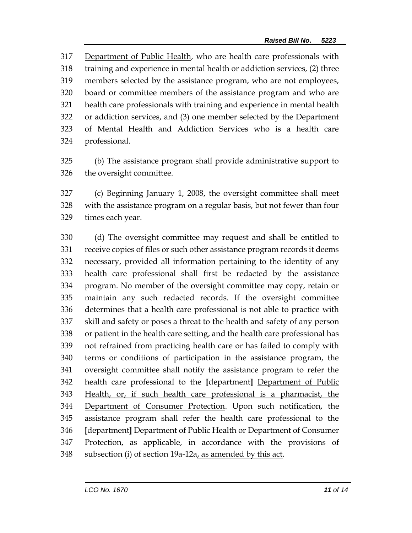Department of Public Health, who are health care professionals with training and experience in mental health or addiction services, (2) three members selected by the assistance program, who are not employees, board or committee members of the assistance program and who are health care professionals with training and experience in mental health or addiction services, and (3) one member selected by the Department of Mental Health and Addiction Services who is a health care professional.

 (b) The assistance program shall provide administrative support to the oversight committee.

 (c) Beginning January 1, 2008, the oversight committee shall meet with the assistance program on a regular basis, but not fewer than four times each year.

 (d) The oversight committee may request and shall be entitled to receive copies of files or such other assistance program records it deems necessary, provided all information pertaining to the identity of any health care professional shall first be redacted by the assistance program. No member of the oversight committee may copy, retain or maintain any such redacted records. If the oversight committee determines that a health care professional is not able to practice with skill and safety or poses a threat to the health and safety of any person or patient in the health care setting, and the health care professional has not refrained from practicing health care or has failed to comply with terms or conditions of participation in the assistance program, the oversight committee shall notify the assistance program to refer the health care professional to the **[**department**]** Department of Public Health, or, if such health care professional is a pharmacist, the Department of Consumer Protection. Upon such notification, the assistance program shall refer the health care professional to the **[**department**]** Department of Public Health or Department of Consumer Protection, as applicable, in accordance with the provisions of 348 subsection (i) of section 19a-12a, as amended by this act.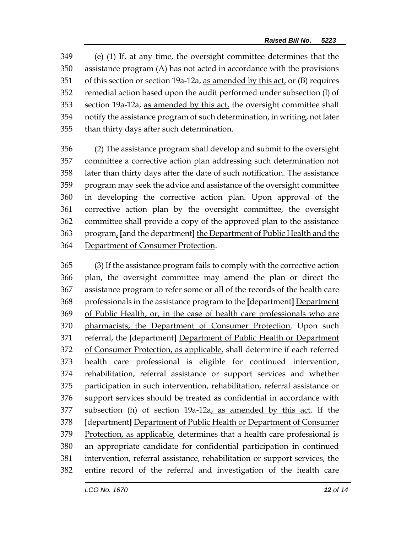(e) (1) If, at any time, the oversight committee determines that the assistance program (A) has not acted in accordance with the provisions of this section or section 19a-12a, as amended by this act, or (B) requires remedial action based upon the audit performed under subsection (l) of section 19a-12a, as amended by this act, the oversight committee shall notify the assistance program of such determination, in writing, not later than thirty days after such determination.

 (2) The assistance program shall develop and submit to the oversight committee a corrective action plan addressing such determination not later than thirty days after the date of such notification. The assistance program may seek the advice and assistance of the oversight committee in developing the corrective action plan. Upon approval of the corrective action plan by the oversight committee, the oversight committee shall provide a copy of the approved plan to the assistance program, **[**and the department**]** the Department of Public Health and the Department of Consumer Protection.

 (3) If the assistance program fails to comply with the corrective action plan, the oversight committee may amend the plan or direct the assistance program to refer some or all of the records of the health care professionals in the assistance program to the **[**department**]** Department of Public Health, or, in the case of health care professionals who are pharmacists, the Department of Consumer Protection. Upon such referral, the **[**department**]** Department of Public Health or Department 372 of Consumer Protection, as applicable, shall determine if each referred health care professional is eligible for continued intervention, rehabilitation, referral assistance or support services and whether participation in such intervention, rehabilitation, referral assistance or support services should be treated as confidential in accordance with subsection (h) of section 19a-12a, as amended by this act. If the **[**department**]** Department of Public Health or Department of Consumer Protection, as applicable, determines that a health care professional is an appropriate candidate for confidential participation in continued intervention, referral assistance, rehabilitation or support services, the entire record of the referral and investigation of the health care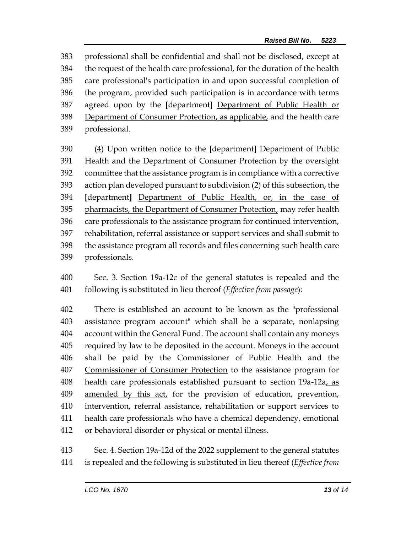professional shall be confidential and shall not be disclosed, except at the request of the health care professional, for the duration of the health care professional's participation in and upon successful completion of the program, provided such participation is in accordance with terms agreed upon by the **[**department**]** Department of Public Health or Department of Consumer Protection, as applicable, and the health care professional.

 (4) Upon written notice to the **[**department**]** Department of Public Health and the Department of Consumer Protection by the oversight committee that the assistance program is in compliance with a corrective action plan developed pursuant to subdivision (2) of this subsection, the **[**department**]** Department of Public Health, or, in the case of pharmacists, the Department of Consumer Protection, may refer health care professionals to the assistance program for continued intervention, rehabilitation, referral assistance or support services and shall submit to the assistance program all records and files concerning such health care professionals.

 Sec. 3. Section 19a-12c of the general statutes is repealed and the following is substituted in lieu thereof (*Effective from passage*):

 There is established an account to be known as the "professional assistance program account" which shall be a separate, nonlapsing account within the General Fund. The account shall contain any moneys required by law to be deposited in the account. Moneys in the account 406 shall be paid by the Commissioner of Public Health and the Commissioner of Consumer Protection to the assistance program for health care professionals established pursuant to section 19a-12a, as 409 amended by this act, for the provision of education, prevention, intervention, referral assistance, rehabilitation or support services to health care professionals who have a chemical dependency, emotional or behavioral disorder or physical or mental illness.

 Sec. 4. Section 19a-12d of the 2022 supplement to the general statutes is repealed and the following is substituted in lieu thereof (*Effective from*